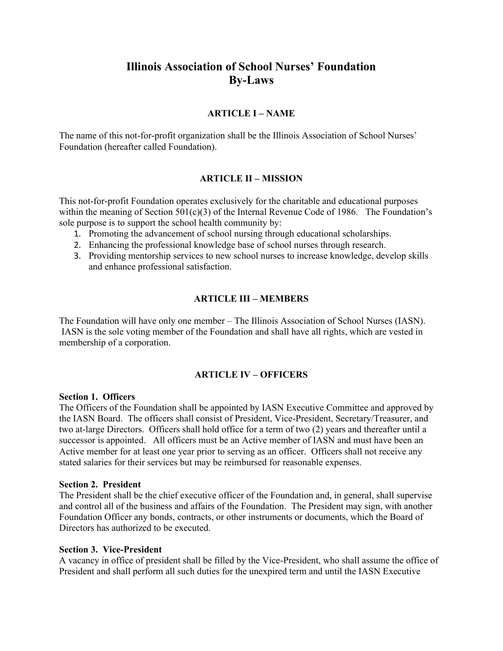# **Illinois Association of School Nurses' Foundation By-Laws**

# **ARTICLE I – NAME**

The name of this not-for-profit organization shall be the Illinois Association of School Nurses' Foundation (hereafter called Foundation).

#### **ARTICLE II – MISSION**

This not-for-profit Foundation operates exclusively for the charitable and educational purposes within the meaning of Section  $501(c)(3)$  of the Internal Revenue Code of 1986. The Foundation's sole purpose is to support the school health community by:

- 1. Promoting the advancement of school nursing through educational scholarships.
- 2. Enhancing the professional knowledge base of school nurses through research.
- 3. Providing mentorship services to new school nurses to increase knowledge, develop skills and enhance professional satisfaction.

# **ARTICLE III – MEMBERS**

The Foundation will have only one member – The Illinois Association of School Nurses (IASN). IASN is the sole voting member of the Foundation and shall have all rights, which are vested in membership of a corporation.

# **ARTICLE IV – OFFICERS**

#### **Section 1. Officers**

The Officers of the Foundation shall be appointed by IASN Executive Committee and approved by the IASN Board. The officers shall consist of President, Vice-President, Secretary/Treasurer, and two at-large Directors. Officers shall hold office for a term of two (2) years and thereafter until a successor is appointed. All officers must be an Active member of IASN and must have been an Active member for at least one year prior to serving as an officer. Officers shall not receive any stated salaries for their services but may be reimbursed for reasonable expenses.

#### **Section 2. President**

The President shall be the chief executive officer of the Foundation and, in general, shall supervise and control all of the business and affairs of the Foundation. The President may sign, with another Foundation Officer any bonds, contracts, or other instruments or documents, which the Board of Directors has authorized to be executed.

#### **Section 3. Vice-President**

A vacancy in office of president shall be filled by the Vice-President, who shall assume the office of President and shall perform all such duties for the unexpired term and until the IASN Executive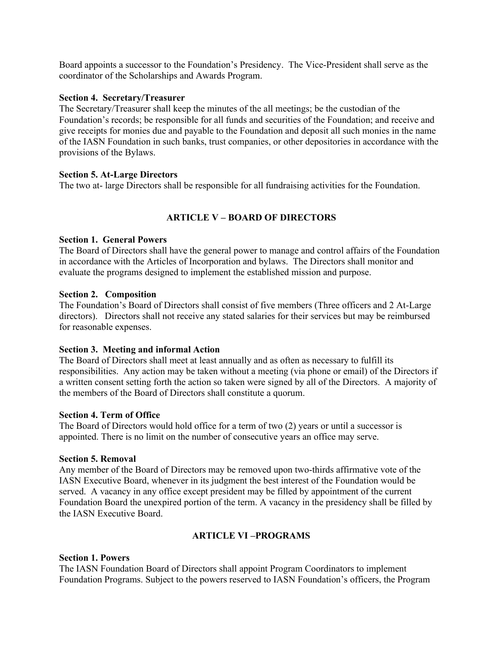Board appoints a successor to the Foundation's Presidency. The Vice-President shall serve as the coordinator of the Scholarships and Awards Program.

#### **Section 4. Secretary/Treasurer**

The Secretary/Treasurer shall keep the minutes of the all meetings; be the custodian of the Foundation's records; be responsible for all funds and securities of the Foundation; and receive and give receipts for monies due and payable to the Foundation and deposit all such monies in the name of the IASN Foundation in such banks, trust companies, or other depositories in accordance with the provisions of the Bylaws.

# **Section 5. At-Large Directors**

The two at- large Directors shall be responsible for all fundraising activities for the Foundation.

# **ARTICLE V – BOARD OF DIRECTORS**

# **Section 1. General Powers**

The Board of Directors shall have the general power to manage and control affairs of the Foundation in accordance with the Articles of Incorporation and bylaws. The Directors shall monitor and evaluate the programs designed to implement the established mission and purpose.

# **Section 2. Composition**

The Foundation's Board of Directors shall consist of five members (Three officers and 2 At-Large directors). Directors shall not receive any stated salaries for their services but may be reimbursed for reasonable expenses.

# **Section 3. Meeting and informal Action**

The Board of Directors shall meet at least annually and as often as necessary to fulfill its responsibilities. Any action may be taken without a meeting (via phone or email) of the Directors if a written consent setting forth the action so taken were signed by all of the Directors. A majority of the members of the Board of Directors shall constitute a quorum.

#### **Section 4. Term of Office**

The Board of Directors would hold office for a term of two (2) years or until a successor is appointed. There is no limit on the number of consecutive years an office may serve.

# **Section 5. Removal**

Any member of the Board of Directors may be removed upon two-thirds affirmative vote of the IASN Executive Board, whenever in its judgment the best interest of the Foundation would be served. A vacancy in any office except president may be filled by appointment of the current Foundation Board the unexpired portion of the term. A vacancy in the presidency shall be filled by the IASN Executive Board.

# **ARTICLE VI –PROGRAMS**

# **Section 1. Powers**

The IASN Foundation Board of Directors shall appoint Program Coordinators to implement Foundation Programs. Subject to the powers reserved to IASN Foundation's officers, the Program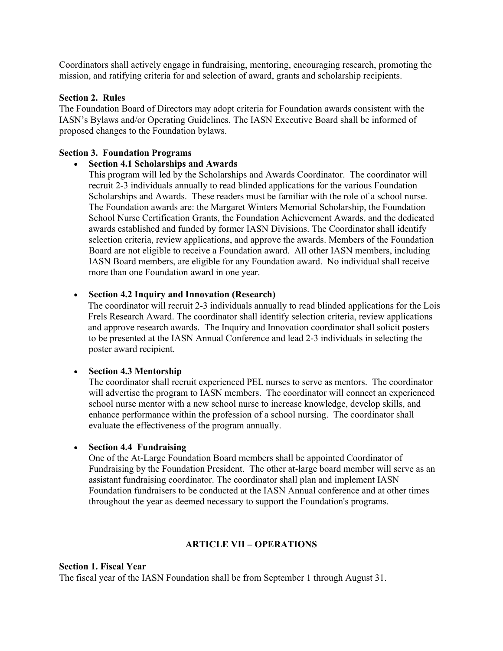Coordinators shall actively engage in fundraising, mentoring, encouraging research, promoting the mission, and ratifying criteria for and selection of award, grants and scholarship recipients.

#### **Section 2. Rules**

The Foundation Board of Directors may adopt criteria for Foundation awards consistent with the IASN's Bylaws and/or Operating Guidelines. The IASN Executive Board shall be informed of proposed changes to the Foundation bylaws.

#### **Section 3. Foundation Programs**

#### **Section 4.1 Scholarships and Awards**

This program will led by the Scholarships and Awards Coordinator. The coordinator will recruit 2-3 individuals annually to read blinded applications for the various Foundation Scholarships and Awards. These readers must be familiar with the role of a school nurse. The Foundation awards are: the Margaret Winters Memorial Scholarship, the Foundation School Nurse Certification Grants, the Foundation Achievement Awards, and the dedicated awards established and funded by former IASN Divisions. The Coordinator shall identify selection criteria, review applications, and approve the awards. Members of the Foundation Board are not eligible to receive a Foundation award. All other IASN members, including IASN Board members, are eligible for any Foundation award. No individual shall receive more than one Foundation award in one year.

#### **Section 4.2 Inquiry and Innovation (Research)**

 The coordinator will recruit 2-3 individuals annually to read blinded applications for the Lois Frels Research Award. The coordinator shall identify selection criteria, review applications and approve research awards. The Inquiry and Innovation coordinator shall solicit posters to be presented at the IASN Annual Conference and lead 2-3 individuals in selecting the poster award recipient.

#### **Section 4.3 Mentorship**

The coordinator shall recruit experienced PEL nurses to serve as mentors. The coordinator will advertise the program to IASN members. The coordinator will connect an experienced school nurse mentor with a new school nurse to increase knowledge, develop skills, and enhance performance within the profession of a school nursing. The coordinator shall evaluate the effectiveness of the program annually.

#### **Section 4.4 Fundraising**

One of the At-Large Foundation Board members shall be appointed Coordinator of Fundraising by the Foundation President. The other at-large board member will serve as an assistant fundraising coordinator. The coordinator shall plan and implement IASN Foundation fundraisers to be conducted at the IASN Annual conference and at other times throughout the year as deemed necessary to support the Foundation's programs.

#### **ARTICLE VII – OPERATIONS**

#### **Section 1. Fiscal Year**

The fiscal year of the IASN Foundation shall be from September 1 through August 31.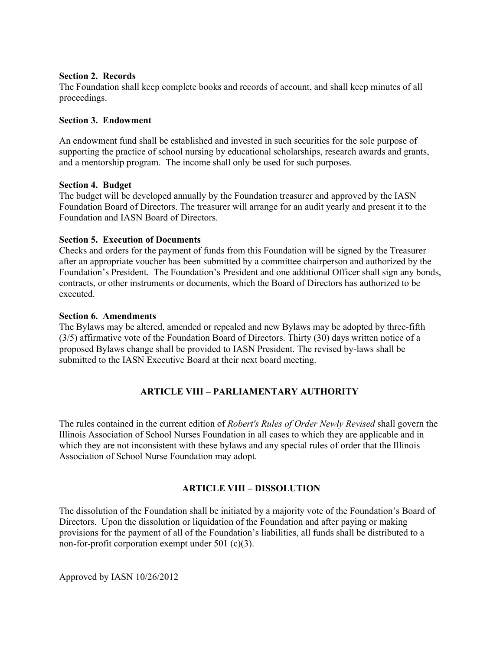#### **Section 2. Records**

The Foundation shall keep complete books and records of account, and shall keep minutes of all proceedings.

# **Section 3. Endowment**

An endowment fund shall be established and invested in such securities for the sole purpose of supporting the practice of school nursing by educational scholarships, research awards and grants, and a mentorship program. The income shall only be used for such purposes.

# **Section 4. Budget**

The budget will be developed annually by the Foundation treasurer and approved by the IASN Foundation Board of Directors. The treasurer will arrange for an audit yearly and present it to the Foundation and IASN Board of Directors.

# **Section 5. Execution of Documents**

Checks and orders for the payment of funds from this Foundation will be signed by the Treasurer after an appropriate voucher has been submitted by a committee chairperson and authorized by the Foundation's President. The Foundation's President and one additional Officer shall sign any bonds, contracts, or other instruments or documents, which the Board of Directors has authorized to be executed.

# **Section 6. Amendments**

The Bylaws may be altered, amended or repealed and new Bylaws may be adopted by three-fifth (3/5) affirmative vote of the Foundation Board of Directors. Thirty (30) days written notice of a proposed Bylaws change shall be provided to IASN President. The revised by-laws shall be submitted to the IASN Executive Board at their next board meeting.

# **ARTICLE VIII – PARLIAMENTARY AUTHORITY**

The rules contained in the current edition of *Robert's Rules of Order Newly Revised* shall govern the Illinois Association of School Nurses Foundation in all cases to which they are applicable and in which they are not inconsistent with these bylaws and any special rules of order that the Illinois Association of School Nurse Foundation may adopt.

# **ARTICLE VIII – DISSOLUTION**

The dissolution of the Foundation shall be initiated by a majority vote of the Foundation's Board of Directors. Upon the dissolution or liquidation of the Foundation and after paying or making provisions for the payment of all of the Foundation's liabilities, all funds shall be distributed to a non-for-profit corporation exempt under 501 (c)(3).

Approved by IASN 10/26/2012